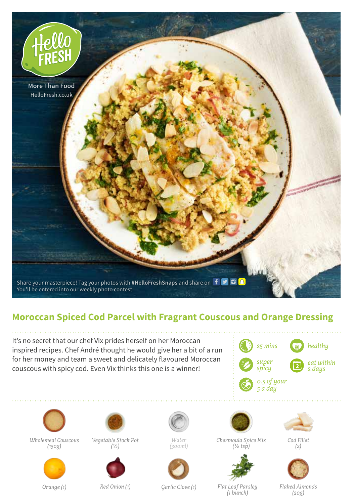

## **Moroccan Spiced Cod Parcel with Fragrant Couscous and Orange Dressing**

It's no secret that our chef Vix prides herself on her Moroccan inspired recipes. Chef André thought he would give her a bit of a run for her money and team a sweet and delicately flavoured Moroccan couscous with spicy cod. Even Vix thinks this one is a winner!





*Wholemeal Couscous (150g)*



*Vegetable Stock Pot (1/2)*



*Water (300ml)*







*(1 bunch)*



*Cod Fillet (2)*



*Flaked Almonds (20g)*

*Orange (1)*

*Red Onion (1) Garlic Clove (1) Flat Leaf Parsley*